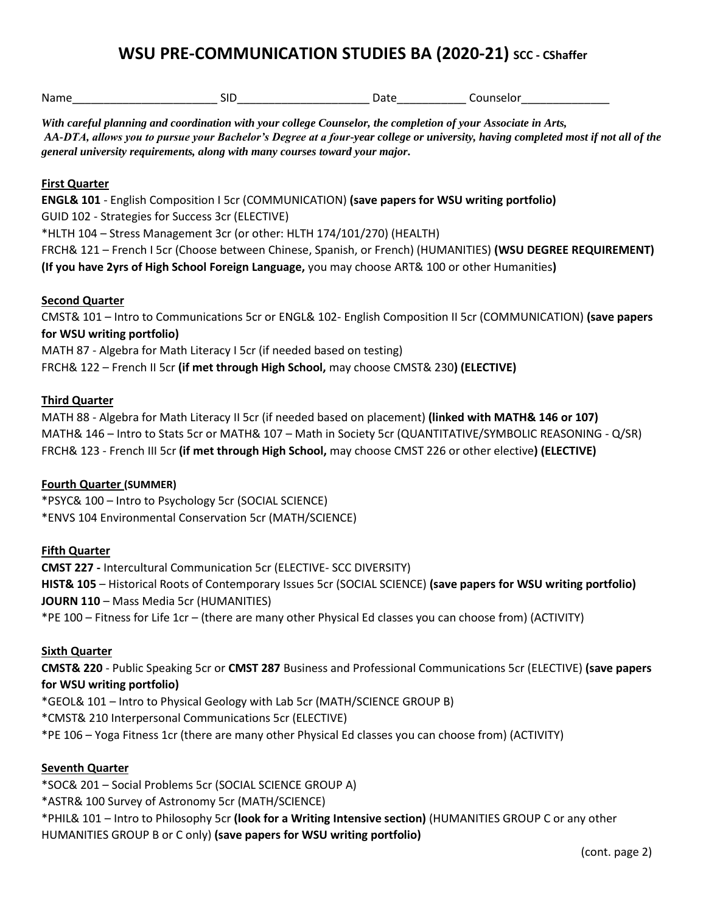## **WSU PRE-COMMUNICATION STUDIES BA (2020-21) SCC - CShaffer**

| With careful planning and coordination with your college Counselor, the completion of your Associate in Arts,<br>AA-DTA, allows you to pursue your Bachelor's Degree at a four-year college or university, having completed most if not all of the<br>general university requirements, along with many courses toward your major.                       |  |  |                                                                                                                  |
|---------------------------------------------------------------------------------------------------------------------------------------------------------------------------------------------------------------------------------------------------------------------------------------------------------------------------------------------------------|--|--|------------------------------------------------------------------------------------------------------------------|
| <b>First Quarter</b><br>ENGL& 101 - English Composition I 5cr (COMMUNICATION) (save papers for WSU writing portfolio)<br>GUID 102 - Strategies for Success 3cr (ELECTIVE)<br>*HLTH 104 - Stress Management 3cr (or other: HLTH 174/101/270) (HEALTH)<br>(If you have 2yrs of High School Foreign Language, you may choose ART& 100 or other Humanities) |  |  | FRCH& 121 - French I 5cr (Choose between Chinese, Spanish, or French) (HUMANITIES) (WSU DEGREE REQUIREMENT)      |
| <b>Second Quarter</b><br>CMST& 101 - Intro to Communications 5cr or ENGL& 102- English Composition II 5cr (COMMUNICATION) (save papers<br>for WSU writing portfolio)<br>MATH 87 - Algebra for Math Literacy I 5cr (if needed based on testing)<br>FRCH& 122 - French II 5cr (if met through High School, may choose CMST& 230) (ELECTIVE)               |  |  |                                                                                                                  |
| <b>Third Quarter</b><br>MATH 88 - Algebra for Math Literacy II 5cr (if needed based on placement) (linked with MATH& 146 or 107)<br>FRCH& 123 - French III 5cr (if met through High School, may choose CMST 226 or other elective) (ELECTIVE)                                                                                                           |  |  | MATH& 146 - Intro to Stats 5cr or MATH& 107 - Math in Society 5cr (QUANTITATIVE/SYMBOLIC REASONING - Q/SR)       |
| <b>Fourth Quarter (SUMMER)</b><br>*PSYC& 100 - Intro to Psychology 5cr (SOCIAL SCIENCE)<br>*ENVS 104 Environmental Conservation 5cr (MATH/SCIENCE)                                                                                                                                                                                                      |  |  |                                                                                                                  |
| <b>Fifth Quarter</b><br><b>CMST 227 - Intercultural Communication 5cr (ELECTIVE- SCC DIVERSITY)</b><br>JOURN 110 - Mass Media 5cr (HUMANITIES)<br>*PE 100 – Fitness for Life 1cr – (there are many other Physical Ed classes you can choose from) (ACTIVITY)                                                                                            |  |  | HIST& 105 - Historical Roots of Contemporary Issues 5cr (SOCIAL SCIENCE) (save papers for WSU writing portfolio) |
| <b>Sixth Quarter</b><br>for WSU writing portfolio)<br>*GEOL& 101 - Intro to Physical Geology with Lab 5cr (MATH/SCIENCE GROUP B)<br>*CMST& 210 Interpersonal Communications 5cr (ELECTIVE)<br>*PE 106 - Yoga Fitness 1cr (there are many other Physical Ed classes you can choose from) (ACTIVITY)                                                      |  |  | CMST& 220 - Public Speaking 5cr or CMST 287 Business and Professional Communications 5cr (ELECTIVE) (save papers |
| <b>Seventh Quarter</b>                                                                                                                                                                                                                                                                                                                                  |  |  |                                                                                                                  |

 \*ASTR& 100 Survey of Astronomy 5cr (MATH/SCIENCE) \*SOC& 201 – Social Problems 5cr (SOCIAL SCIENCE GROUP A) \*PHIL& 101 – Intro to Philosophy 5cr **(look for a Writing Intensive section)** (HUMANITIES GROUP C or any other HUMANITIES GROUP B or C only) **(save papers for WSU writing portfolio)**